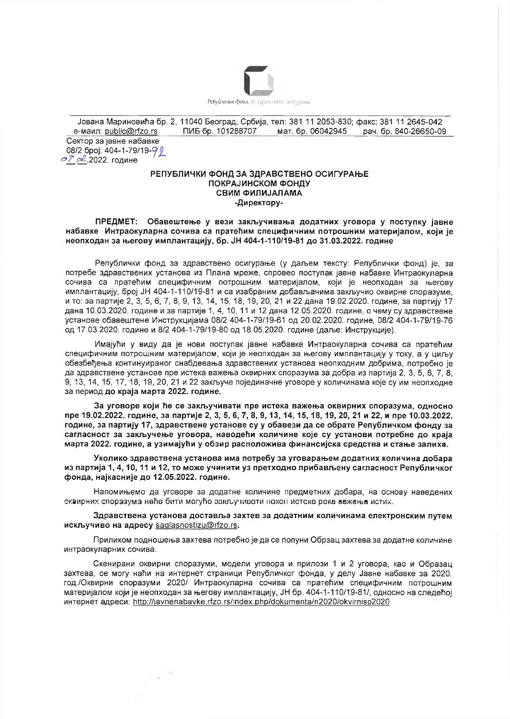

Јована Мариновића бр. 2, 11040 Београд, Србија, тел: 381 11 2053-830; факс: 381 11 2645-042 e-маил: public@rfzo.rs ПИБ бр. 101288707 мат. бр. 06042945 рач. бр. 840-26650-09 Сектор за јавне набавке 08/2 број: 404-1-79/19-9 0 07 с. 2022. године

## РЕПУБЛИЧКИ ФОНД ЗА ЗДРАВСТВЕНО ОСИГУРАЊЕ ПОКРАЈИНСКОМ ФОНДУ СВИМ ФИЛИЈАЛАМА -Директору-

ПРЕДМЕТ: Обавештење у вези закључивања додатних уговора у поступку јавне набавке Интраокуларна сочива са пратећим специфичним потрошним материјалом, који је неопходан за његову имплантацију, бр. ЈН 404-1-110/19-81 до 31.03.2022, године

Републички фонд за здравствено осигурање (у даљем тексту: Републички фонд) је, за потребе здравствених установа из Плана мреже, спровео поступак јавне набавке Интраокуларна сочива са пратећим специфичним потрошним материјалом, који је неопходан за његову имплантацију, број ЈН 404-1-110/19-81 и са изабраним добављачима закључио оквирне споразуме. и то: за партије 2, 3, 5, 6, 7, 8, 9, 13, 14, 15, 18, 19, 20, 21 и 22 дана 19.02.2020. године, за партију 17 дана 10.03.2020. године и за партије 1, 4, 10, 11 и 12 дана 12.05.2020. године, о чему су здравствене установе обавештене Инструкцијама 08/2 404-1-79/19-61 од 20.02.2020. године, 08/2 404-1-79/19-76 од 17.03.2020. године и 8/2 404-1-79/19-80 од 18.05.2020. године (даље: Инструкције).

Имајући у виду да је нови поступак јавне набавке Интраокуларна сочива са пратећим специфичним потрошним материјалом, који је неопходан за његову имплантацију у току, а у циљу обезбеђења континуираног снабдевања здравствених установа неопходним добрима, потребно је да здравствене установе пре истека важења оквирних споразума за добра из партија 2, 3, 5, 6, 7, 8, 9, 13, 14, 15, 17, 18, 19, 20, 21 и 22 закључе појединачне уговоре у количинама које су им неопходне за период до краја марта 2022. године.

За уговоре који ће се закључивати пре истека важења оквирних споразума, односно пре 19.02.2022. године, за партије 2, 3, 5, 6, 7, 8, 9, 13, 14, 15, 18, 19, 20, 21 и 22, и пре 10.03.2022. године, за партију 17, здравствене установе су у обавези да се обрате Републичком фонду за сагласност за закључење уговора, наводећи количине које су установи потребне до краја марта 2022, године, а узимајући у обзир расположива финансијска средства и стање залиха.

Уколико здравствена установа има потребу за уговарањем додатних количина добара из партија 1, 4, 10, 11 и 12, то може учинити уз претходно прибављену сагласност Републичког фонда, најкасније до 12.05.2022. године.

Напомињемо да уговоре за додатне количине предметних добара, на основу наведених оквирних споразума неће бити могућо закљу ирати након истока рока важења истих.

Здравствена установа доставља захтев за додатним количинама електронским путем искључиво на адресу saglasnostizu@rfzo.rs.

Приликом подношења захтева потребно је да се попуни Обрзац захтева за додатне количине интраокуларних сочива.

Скенирани оквирни споразуми, модели уговора и прилози 1 и 2 уговора, као и Образац захтева, се могу наћи на интернет страници Републичког фонда, у делу Јавне набавке за 2020. год./Оквирни споразуми 2020/ Интраокуларна сочива са пратећим специфичним потрошним материјалом који је неопходан за његову имплантацију, ЈН бр. 404-1-110/19-81/, односно на следећој интернет адреси: http://javnenabavke.rfzo.rs/index.php/dokumenta/n2020/okvirnisp2020

 $\epsilon_{\rm A}^{-(3)}$  .